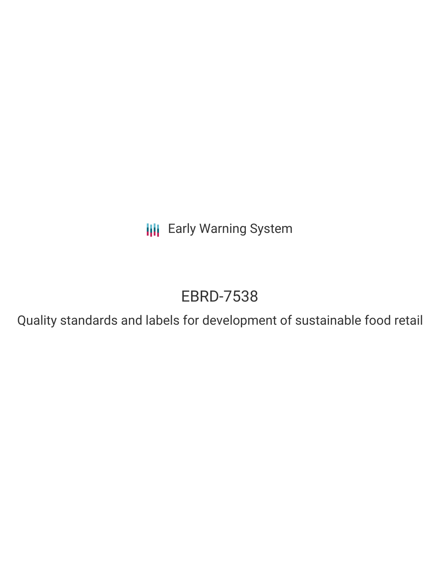**III** Early Warning System

# EBRD-7538

Quality standards and labels for development of sustainable food retail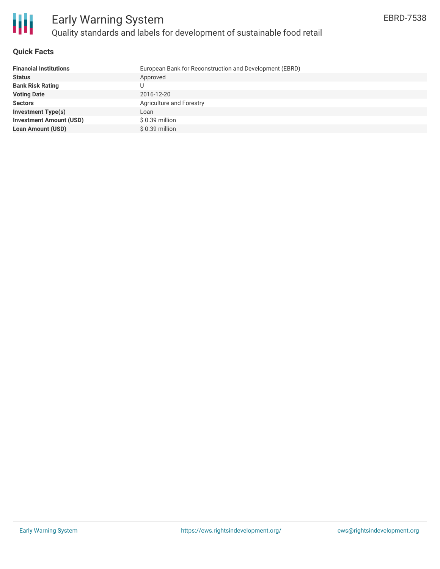

#### **Quick Facts**

| <b>Financial Institutions</b>  | European Bank for Reconstruction and Development (EBRD) |
|--------------------------------|---------------------------------------------------------|
| <b>Status</b>                  | Approved                                                |
| <b>Bank Risk Rating</b>        |                                                         |
| <b>Voting Date</b>             | 2016-12-20                                              |
| <b>Sectors</b>                 | <b>Agriculture and Forestry</b>                         |
| <b>Investment Type(s)</b>      | Loan                                                    |
| <b>Investment Amount (USD)</b> | $$0.39$ million                                         |
| <b>Loan Amount (USD)</b>       | \$ 0.39 million                                         |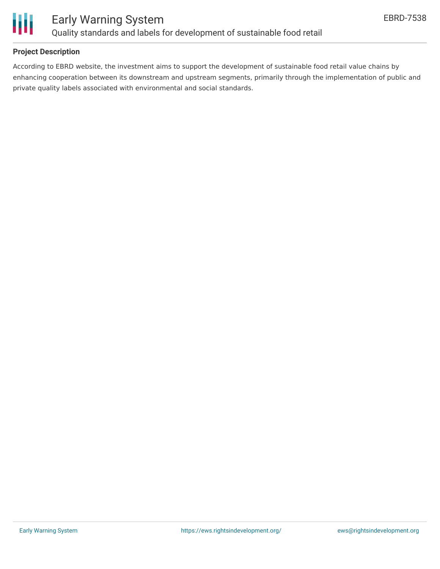

### **Project Description**

According to EBRD website, the investment aims to support the development of sustainable food retail value chains by enhancing cooperation between its downstream and upstream segments, primarily through the implementation of public and private quality labels associated with environmental and social standards.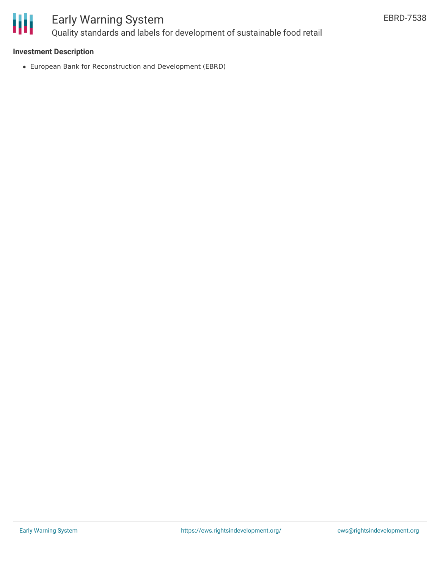

## Early Warning System Quality standards and labels for development of sustainable food retail

### **Investment Description**

European Bank for Reconstruction and Development (EBRD)